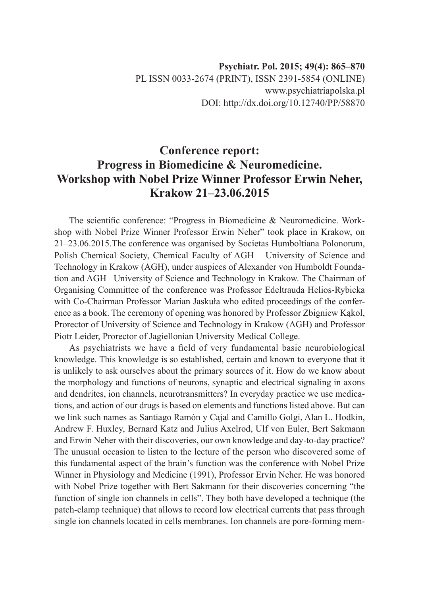## **Conference report: Progress in Biomedicine & Neuromedicine. Workshop with Nobel Prize Winner Professor Erwin Neher, Krakow 21–23.06.2015**

The scientific conference: "Progress in Biomedicine & Neuromedicine. Workshop with Nobel Prize Winner Professor Erwin Neher" took place in Krakow, on 21–23.06.2015.The conference was organised by Societas Humboltiana Polonorum, Polish Chemical Society, Chemical Faculty of AGH – University of Science and Technology in Krakow (AGH), under auspices of Alexander von Humboldt Foundation and AGH –University of Science and Technology in Krakow. The Chairman of Organising Committee of the conference was Professor Edeltrauda Helios-Rybicka with Co-Chairman Professor Marian Jaskuła who edited proceedings of the conference as a book. The ceremony of opening was honored by Professor Zbigniew Kąkol, Prorector of University of Science and Technology in Krakow (AGH) and Professor Piotr Leider, Prorector of Jagiellonian University Medical College.

As psychiatrists we have a field of very fundamental basic neurobiological knowledge. This knowledge is so established, certain and known to everyone that it is unlikely to ask ourselves about the primary sources of it. How do we know about the morphology and functions of neurons, synaptic and electrical signaling in axons and dendrites, ion channels, neurotransmitters? In everyday practice we use medications, and action of our drugs is based on elements and functions listed above. But can we link such names as Santiago Ramón y Cajal and Camillo Golgi, Alan L. Hodkin, Andrew F. Huxley, Bernard Katz and Julius Axelrod, Ulf von Euler, Bert Sakmann and Erwin Neher with their discoveries, our own knowledge and day-to-day practice? The unusual occasion to listen to the lecture of the person who discovered some of this fundamental aspect of the brain's function was the conference with Nobel Prize Winner in Physiology and Medicine (1991), Professor Ervin Neher. He was honored with Nobel Prize together with Bert Sakmann for their discoveries concerning "the function of single ion channels in cells". They both have developed a technique (the patch-clamp technique) that allows to record low electrical currents that pass through single ion channels located in cells membranes. Ion channels are pore-forming mem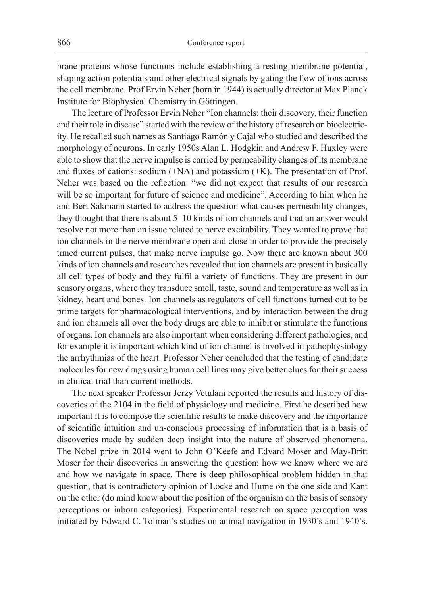brane proteins whose functions include establishing a resting membrane potential, shaping action potentials and other electrical signals by gating the flow of ions across the cell membrane. Prof Ervin Neher (born in 1944) is actually director at Max Planck Institute for Biophysical Chemistry in Göttingen.

The lecture of Professor Ervin Neher "Ion channels: their discovery, their function and their role in disease" started with the review of the history of research on bioelectricity. He recalled such names as Santiago Ramón y Cajal who studied and described the morphology of neurons. In early 1950s Alan L. Hodgkin and Andrew F. Huxley were able to show that the nerve impulse is carried by permeability changes of its membrane and fluxes of cations: sodium (+NA) and potassium (+K). The presentation of Prof. Neher was based on the reflection: "we did not expect that results of our research will be so important for future of science and medicine". According to him when he and Bert Sakmann started to address the question what causes permeability changes, they thought that there is about 5–10 kinds of ion channels and that an answer would resolve not more than an issue related to nerve excitability. They wanted to prove that ion channels in the nerve membrane open and close in order to provide the precisely timed current pulses, that make nerve impulse go. Now there are known about 300 kinds of ion channels and researches revealed that ion channels are present in basically all cell types of body and they fulfil a variety of functions. They are present in our sensory organs, where they transduce smell, taste, sound and temperature as well as in kidney, heart and bones. Ion channels as regulators of cell functions turned out to be prime targets for pharmacological interventions, and by interaction between the drug and ion channels all over the body drugs are able to inhibit or stimulate the functions of organs. Ion channels are also important when considering different pathologies, and for example it is important which kind of ion channel is involved in pathophysiology the arrhythmias of the heart. Professor Neher concluded that the testing of candidate molecules for new drugs using human cell lines may give better clues for their success in clinical trial than current methods.

The next speaker Professor Jerzy Vetulani reported the results and history of discoveries of the 2104 in the field of physiology and medicine. First he described how important it is to compose the scientific results to make discovery and the importance of scientific intuition and un-conscious processing of information that is a basis of discoveries made by sudden deep insight into the nature of observed phenomena. The Nobel prize in 2014 went to John O'Keefe and Edvard Moser and May-Britt Moser for their discoveries in answering the question: how we know where we are and how we navigate in space. There is deep philosophical problem hidden in that question, that is contradictory opinion of Locke and Hume on the one side and Kant on the other (do mind know about the position of the organism on the basis of sensory perceptions or inborn categories). Experimental research on space perception was initiated by Edward C. Tolman's studies on animal navigation in 1930's and 1940's.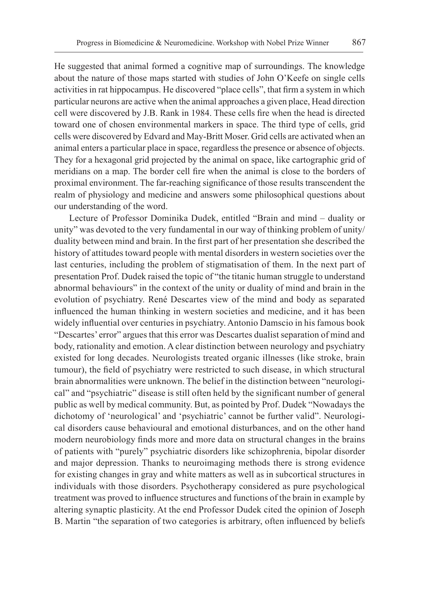He suggested that animal formed a cognitive map of surroundings. The knowledge about the nature of those maps started with studies of John O'Keefe on single cells activities in rat hippocampus. He discovered "place cells", that firm a system in which particular neurons are active when the animal approaches a given place, Head direction cell were discovered by J.B. Rank in 1984. These cells fire when the head is directed toward one of chosen environmental markers in space. The third type of cells, grid cells were discovered by Edvard and May-Britt Moser. Grid cells are activated when an animal enters a particular place in space, regardless the presence or absence of objects. They for a hexagonal grid projected by the animal on space, like cartographic grid of meridians on a map. The border cell fire when the animal is close to the borders of proximal environment. The far-reaching significance of those results transcendent the realm of physiology and medicine and answers some philosophical questions about our understanding of the word.

Lecture of Professor Dominika Dudek, entitled "Brain and mind – duality or unity" was devoted to the very fundamental in our way of thinking problem of unity/ duality between mind and brain. In the first part of her presentation she described the history of attitudes toward people with mental disorders in western societies over the last centuries, including the problem of stigmatisation of them. In the next part of presentation Prof. Dudek raised the topic of "the titanic human struggle to understand abnormal behaviours" in the context of the unity or duality of mind and brain in the evolution of psychiatry. René Descartes view of the mind and body as separated influenced the human thinking in western societies and medicine, and it has been widely influential over centuries in psychiatry. Antonio Damscio in his famous book "Descartes' error" argues that this error was Descartes dualist separation of mind and body, rationality and emotion. A clear distinction between neurology and psychiatry existed for long decades. Neurologists treated organic illnesses (like stroke, brain tumour), the field of psychiatry were restricted to such disease, in which structural brain abnormalities were unknown. The belief in the distinction between "neurological" and "psychiatric" disease is still often held by the significant number of general public as well by medical community. But, as pointed by Prof. Dudek "Nowadays the dichotomy of 'neurological' and 'psychiatric' cannot be further valid". Neurological disorders cause behavioural and emotional disturbances, and on the other hand modern neurobiology finds more and more data on structural changes in the brains of patients with "purely" psychiatric disorders like schizophrenia, bipolar disorder and major depression. Thanks to neuroimaging methods there is strong evidence for existing changes in gray and white matters as well as in subcortical structures in individuals with those disorders. Psychotherapy considered as pure psychological treatment was proved to influence structures and functions of the brain in example by altering synaptic plasticity. At the end Professor Dudek cited the opinion of Joseph B. Martin "the separation of two categories is arbitrary, often influenced by beliefs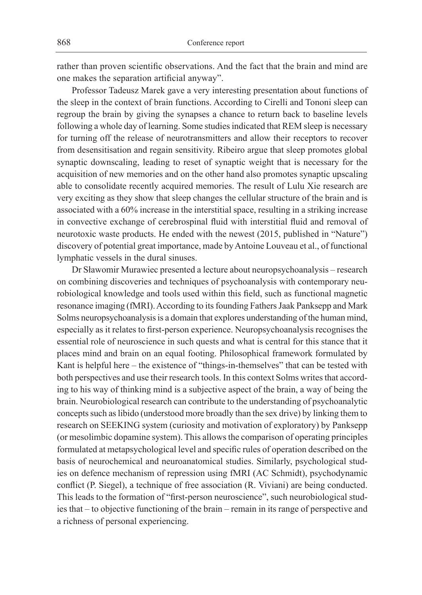rather than proven scientific observations. And the fact that the brain and mind are one makes the separation artificial anyway".

Professor Tadeusz Marek gave a very interesting presentation about functions of the sleep in the context of brain functions. According to Cirelli and Tononi sleep can regroup the brain by giving the synapses a chance to return back to baseline levels following a whole day of learning. Some studies indicated that REM sleep is necessary for turning off the release of neurotransmitters and allow their receptors to recover from desensitisation and regain sensitivity. Ribeiro argue that sleep promotes global synaptic downscaling, leading to reset of synaptic weight that is necessary for the acquisition of new memories and on the other hand also promotes synaptic upscaling able to consolidate recently acquired memories. The result of Lulu Xie research are very exciting as they show that sleep changes the cellular structure of the brain and is associated with a 60% increase in the interstitial space, resulting in a striking increase in convective exchange of cerebrospinal fluid with interstitial fluid and removal of neurotoxic waste products. He ended with the newest (2015, published in "Nature") discovery of potential great importance, made by Antoine Louveau et al., of functional lymphatic vessels in the dural sinuses.

Dr Sławomir Murawiec presented a lecture about neuropsychoanalysis – research on combining discoveries and techniques of psychoanalysis with contemporary neurobiological knowledge and tools used within this field, such as functional magnetic resonance imaging (fMRI). According to its founding Fathers Jaak Panksepp and Mark Solms neuropsychoanalysis is a domain that explores understanding of the human mind, especially as it relates to first-person experience. Neuropsychoanalysis recognises the essential role of neuroscience in such quests and what is central for this stance that it places mind and brain on an equal footing. Philosophical framework formulated by Kant is helpful here – the existence of "things-in-themselves" that can be tested with both perspectives and use their research tools. In this context Solms writes that according to his way of thinking mind is a subjective aspect of the brain, a way of being the brain. Neurobiological research can contribute to the understanding of psychoanalytic concepts such as libido (understood more broadly than the sex drive) by linking them to research on SEEKING system (curiosity and motivation of exploratory) by Panksepp (or mesolimbic dopamine system). This allows the comparison of operating principles formulated at metapsychological level and specific rules of operation described on the basis of neurochemical and neuroanatomical studies. Similarly, psychological studies on defence mechanism of repression using fMRI (AC Schmidt), psychodynamic conflict (P. Siegel), a technique of free association (R. Viviani) are being conducted. This leads to the formation of "first-person neuroscience", such neurobiological studies that – to objective functioning of the brain – remain in its range of perspective and a richness of personal experiencing.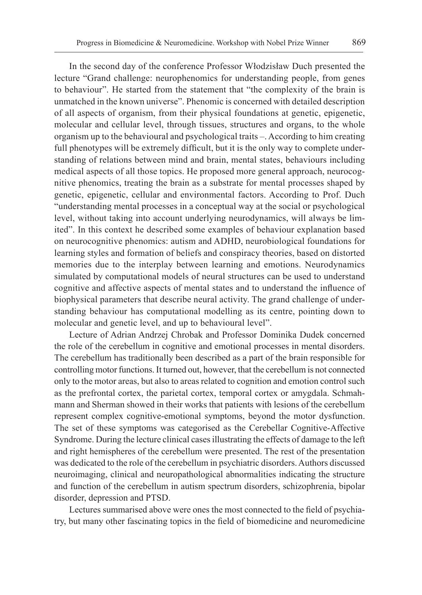In the second day of the conference Professor Włodzisław Duch presented the lecture "Grand challenge: neurophenomics for understanding people, from genes to behaviour". He started from the statement that "the complexity of the brain is unmatched in the known universe". Phenomic is concerned with detailed description of all aspects of organism, from their physical foundations at genetic, epigenetic, molecular and cellular level, through tissues, structures and organs, to the whole organism up to the behavioural and psychological traits –. According to him creating full phenotypes will be extremely difficult, but it is the only way to complete understanding of relations between mind and brain, mental states, behaviours including medical aspects of all those topics. He proposed more general approach, neurocognitive phenomics, treating the brain as a substrate for mental processes shaped by genetic, epigenetic, cellular and environmental factors. According to Prof. Duch "understanding mental processes in a conceptual way at the social or psychological level, without taking into account underlying neurodynamics, will always be limited". In this context he described some examples of behaviour explanation based on neurocognitive phenomics: autism and ADHD, neurobiological foundations for learning styles and formation of beliefs and conspiracy theories, based on distorted memories due to the interplay between learning and emotions. Neurodynamics simulated by computational models of neural structures can be used to understand cognitive and affective aspects of mental states and to understand the influence of biophysical parameters that describe neural activity. The grand challenge of understanding behaviour has computational modelling as its centre, pointing down to molecular and genetic level, and up to behavioural level".

Lecture of Adrian Andrzej Chrobak and Professor Dominika Dudek concerned the role of the cerebellum in cognitive and emotional processes in mental disorders. The cerebellum has traditionally been described as a part of the brain responsible for controlling motor functions. It turned out, however, that the cerebellum is not connected only to the motor areas, but also to areas related to cognition and emotion control such as the prefrontal cortex, the parietal cortex, temporal cortex or amygdala. Schmahmann and Sherman showed in their works that patients with lesions of the cerebellum represent complex cognitive-emotional symptoms, beyond the motor dysfunction. The set of these symptoms was categorised as the Cerebellar Cognitive-Affective Syndrome. During the lecture clinical cases illustrating the effects of damage to the left and right hemispheres of the cerebellum were presented. The rest of the presentation was dedicated to the role of the cerebellum in psychiatric disorders. Authors discussed neuroimaging, clinical and neuropathological abnormalities indicating the structure and function of the cerebellum in autism spectrum disorders, schizophrenia, bipolar disorder, depression and PTSD.

Lectures summarised above were ones the most connected to the field of psychiatry, but many other fascinating topics in the field of biomedicine and neuromedicine